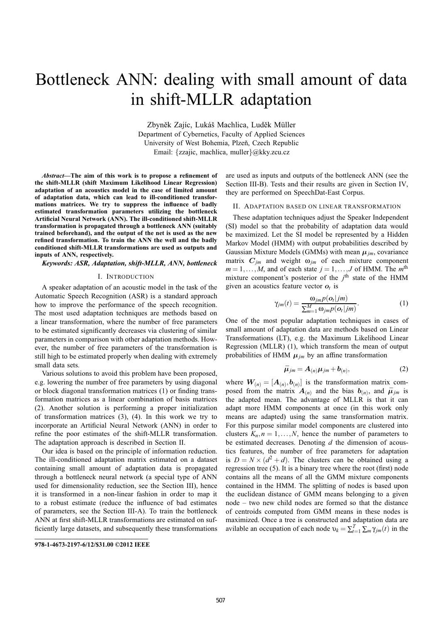# Bottleneck ANN: dealing with small amount of data in shift-MLLR adaptation

Zbyněk Zajíc, Lukáš Machlica, Luděk Müller Department of Cybernetics, Faculty of Applied Sciences University of West Bohemia, Plzeň, Czech Republic Email: {zzajic, machlica, muller}@kky.zcu.cz

*Abstract***—The aim of this work is to propose a refinement of the shift-MLLR (shift Maximum Likelihood Linear Regression) adaptation of an acoustics model in the case of limited amount of adaptation data, which can lead to ill-conditioned transformations matrices. We try to suppress the influence of badly estimated transformation parameters utilizing the bottleneck Artificial Neural Network (ANN). The ill-conditioned shift-MLLR transformation is propagated through a bottleneck ANN (suitably trained beforehand), and the output of the net is used as the new refined transformation. To train the ANN the well and the badly conditioned shift-MLLR transformations are used as outputs and inputs of ANN, respectively.**

# *Keywords: ASR, Adaptation, shift-MLLR, ANN, bottleneck*

#### I. INTRODUCTION

A speaker adaptation of an acoustic model in the task of the Automatic Speech Recognition (ASR) is a standard approach how to improve the performance of the speech recognition. The most used adaptation techniques are methods based on a linear transformation, where the number of free parameters to be estimated significantly decreases via clustering of similar parameters in comparison with other adaptation methods. However, the number of free parameters of the transformation is still high to be estimated properly when dealing with extremely small data sets.

Various solutions to avoid this problem have been proposed, e.g. lowering the number of free parameters by using diagonal or block diagonal transformation matrices (1) or finding transformation matrices as a linear combination of basis matrices (2). Another solution is performing a proper initialization of transformation matrices (3), (4). In this work we try to incorporate an Artificial Neural Network (ANN) in order to refine the poor estimates of the shift-MLLR transformation. The adaptation approach is described in Section II.

Our idea is based on the principle of information reduction. The ill-conditioned adaptation matrix estimated on a dataset containing small amount of adaptation data is propagated through a bottleneck neural network (a special type of ANN used for dimensionality reduction, see the Section III), hence it is transformed in a non-linear fashion in order to map it to a robust estimate (reduce the influence of bad estimates of parameters, see the Section III-A). To train the bottleneck ANN at first shift-MLLR transformations are estimated on sufficiently large datasets, and subsequently these transformations

**978-1-4673-2197-6/12/\$31.00 ©2012 IEEE** 

are used as inputs and outputs of the bottleneck ANN (see the Section III-B). Tests and their results are given in Section IV, they are performed on SpeechDat-East Corpus.

## II. ADAPTATION BASED ON LINEAR TRANSFORMATION

These adaptation techniques adjust the Speaker Independent (SI) model so that the probability of adaptation data would be maximized. Let the SI model be represented by a Hidden Markov Model (HMM) with output probabilities described by Gaussian Mixture Models (GMMs) with mean **μ***jm*, covariance matrix  $C_{jm}$  and weight  $\omega_{jm}$  of each mixture component  $m = 1, \ldots, M$ , and of each state  $j = 1, \ldots, J$  of HMM. The  $m^{\text{th}}$ mixture component's posterior of the  $j<sup>th</sup>$  state of the HMM given an acoustics feature vector  $o_t$  is

$$
\gamma_{jm}(t) = \frac{\omega_{jm} p(o_t | jm)}{\sum_{m=1}^{M} \omega_{jm} p(o_t | jm)}.
$$
\n(1)

One of the most popular adaptation techniques in cases of small amount of adaptation data are methods based on Linear Transformations (LT), e.g. the Maximum Likelihood Linear Regression (MLLR) (1), which transform the mean of output probabilities of HMM  $\mu_{im}$  by an affine transformation

$$
\bar{\mu}_{jm} = A_{(n)}\mu_{jm} + b_{(n)},\tag{2}
$$

where  $W_{(n)} = [A_{(n)}, b_{(n)}]$  is the transformation matrix composed from the matrix  $A_{(n)}$  and the bias  $b_{(n)}$ , and  $\overline{\mu}_{jm}$  is the adapted mean. The advantage of MLLR is that it can adapt more HMM components at once (in this work only means are adapted) using the same transformation matrix. For this purpose similar model components are clustered into clusters  $K_n, n = 1, \ldots, N$ , hence the number of parameters to be estimated decreases. Denoting *d* the dimension of acoustics features, the number of free parameters for adaptation is  $D = N \times (d^2 + d)$ . The clusters can be obtained using a regression tree (5). It is a binary tree where the root (first) node contains all the means of all the GMM mixture components contained in the HMM. The splitting of nodes is based upon the euclidean distance of GMM means belonging to a given node – two new child nodes are formed so that the distance of centroids computed from GMM means in these nodes is maximized. Once a tree is constructed and adaptation data are ficiently large datasets, and subsequently these transformations avilable an occupation of each node  $v_k = \sum_{t=1}^T \sum_m \gamma_{jm}(t)$  in the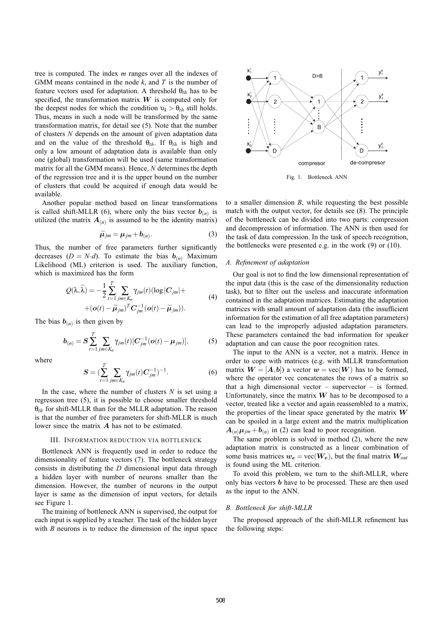tree is computed. The index *m* ranges over all the indexes of GMM means contained in the node *k*, and *T* is the number of feature vectors used for adaptation. A threshold  $\theta_{th}$  has to be specified, the transformation matrix  $W$  is computed only for the deepest nodes for which the condition  $v_k > \theta_{th}$  still holds. Thus, means in such a node will be transformed by the same transformation matrix, for detail see (5). Note that the number of clusters *N* depends on the amount of given adaptation data and on the value of the threshold  $\theta_{th}$ . If  $\theta_{th}$  is high and only a low amount of adaptation data is available than only one (global) transformation will be used (same transformation matrix for all the GMM means). Hence, *N* determines the depth of the regression tree and it is the upper bound on the number of clusters that could be acquired if enough data would be available.

Another popular method based on linear transformations is called shift-MLLR (6), where only the bias vector  $\mathbf{b}_{(n)}$  is utilized (the matrix  $A_{(n)}$  is assumed to be the identity matrix)

$$
\bar{\mu}_{jm} = \mu_{jm} + b_{(n)}.
$$
 (3)

Thus, the number of free parameters further significantly decreases ( $D = N \cdot d$ ). To estimate the bias  $b_{(n)}$  Maximum Likelihood (ML) criterion is used. The auxiliary function, which is maximized has the form

$$
Q(\lambda, \overline{\lambda}) = -\frac{1}{2} \sum_{t=1}^{T} \sum_{jm \in K_n} \gamma_{jm}(t) (\log |C_{jm}| +
$$
  
 
$$
+ (\boldsymbol{o}(t) - \overline{\boldsymbol{\mu}}_{jm})^T \boldsymbol{C}_{jm}^{-1} (\boldsymbol{o}(t) - \overline{\boldsymbol{\mu}}_{jm})).
$$
 (4)

The bias  $\mathbf{b}_{(n)}$  is then given by

$$
\boldsymbol{b}_{(n)} = \boldsymbol{S} \sum_{t=1}^{T} \sum_{jm \in K_n} \gamma_{jm}(t) [\boldsymbol{C}_{jm}^{-1}(\boldsymbol{o}(t) - \boldsymbol{\mu}_{jm})], \qquad (5)
$$

where

$$
S = (\sum_{t=1}^{T} \sum_{jm \in K_n} \gamma_{jm}(t) C_{jm}^{-1})^{-1}.
$$
 (6)

In the case, where the number of clusters *N* is set using a regression tree (5), it is possible to choose smaller threshold θ*th* for shift-MLLR than for the MLLR adaptation. The reason is that the number of free parameters for shift-MLLR is much lower since the matrix **A** has not to be estimated.

#### III. INFORMATION REDUCTION VIA BOTTLENECK

Bottleneck ANN is frequently used in order to reduce the dimensionality of feature vectors (7). The bottleneck strategy consists in distributing the *D* dimensional input data through a hidden layer with number of neurons smaller than the dimension. However, the number of neurons in the output layer is same as the dimension of input vectors, for details see Figure 1.

The training of bottleneck ANN is supervised, the output for each input is supplied by a teacher. The task of the hidden layer with *B* neurons is to reduce the dimension of the input space



Fig. 1. Bottleneck ANN

to a smaller dimension *B*, while requesting the best possible match with the output vector, for details see (8). The principle of the bottleneck can be divided into two parts: compression and decompression of information. The ANN is then used for the task of data compression. In the task of speech recognition, the bottlenecks were presented e.g. in the work (9) or (10).

# *A. Refinement of adaptation*

Our goal is not to find the low dimensional representation of the input data (this is the case of the dimensionality reduction task), but to filter out the useless and inaccurate information contained in the adaptation matrices. Estimating the adaptation matrices with small amount of adaptation data (the insufficient information for the estimation of all free adaptation parameters) can lead to the improperly adjusted adaptation parameters. These parameters contained the bad information for speaker adaptation and can cause the poor recognition rates.

The input to the ANN is a vector, not a matrix. Hence in order to cope with matrices (e.g. with MLLR transformation matrix  $W = [A, b]$  a vector  $w = \text{vec}(W)$  has to be formed, where the operator vec concatenates the rows of a matrix so that a high dimensional vector – supervector – is formed. Unfortunately, since the matrix  $W$  has to be decomposed to a vector, treated like a vector and again reassembled to a matrix, the properties of the linear space generated by the matrix **W** can be spoiled in a large extent and the matrix multiplication  $A(n) \mu_{jm} + b(n)$  in (2) can lead to poor recognition.

The same problem is solved in method (2), where the new adaptation matrix is constructed as a linear combination of some basis matrices  $w_e = \text{vec}(\mathbf{W}_e)$ , but the final matrix  $\mathbf{W}_{out}$ is found using the ML criterion.

To avoid this problem, we turn to the shift-MLLR, where only bias vectors **b** have to be processed. These are then used as the input to the ANN.

## *B. Bottleneck for shift-MLLR*

The proposed approach of the shift-MLLR refinement has the following steps: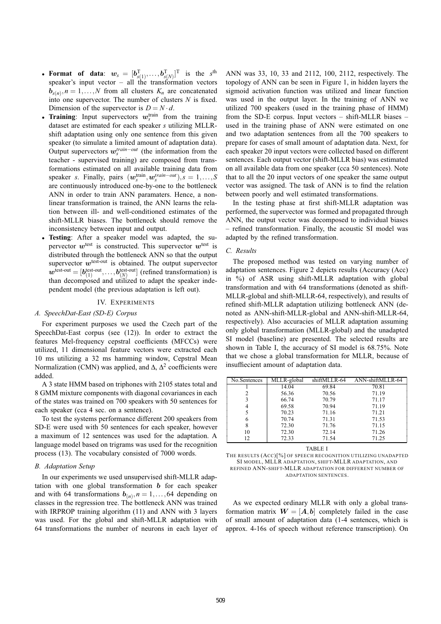- **Format of data:**  $w_s = [\mathbf{b}_{s(1)}^{\text{T}}, \dots, \mathbf{b}_{s(N)}^{\text{T}}]^{\text{T}}$  is the *s*<sup>th</sup> speaker's input vector – all the transformation vectors  **from all clusters**  $K_n$  **are concatenated** into one supervector. The number of clusters *N* is fixed. Dimension of the supervector is  $D = N \cdot d$ .
- **Training**: Input supervectors  $w_s^{\text{train}}$  from the training dataset are estimated for each speaker *s* utilizing MLLRshift adaptation using only one sentence from this given speaker (to simulate a limited amount of adaptation data). Output supervectors  $w_i^{train-out}$  (the information from the teacher - supervised training) are composed from transformations estimated on all available training data from speaker *s*. Finally, pairs  $(\mathbf{w}_s^{\text{train}}, \mathbf{w}_s^{\text{train}-\text{out}}), s = 1, \ldots, S$ are continuously introduced one-by-one to the bottleneck ANN in order to train ANN paramaters. Hence, a nonlinear transformation is trained, the ANN learns the relation between ill- and well-conditioned estimates of the shift-MLLR biases. The bottleneck should remove the inconsistency between input and output.
- **Testing**: After a speaker model was adapted, the supervector  $w^{\text{test}}$  is constructed. This supervector  $w^{\text{test}}$  is distributed through the bottleneck ANN so that the output supervector  $w^{\text{test-out}}$  is obtained. The output supervector  $\boldsymbol{w}^{\text{test-out}} = [\boldsymbol{b}_{(1)}^{\text{test-out}}, \dots, \boldsymbol{b}_{(N)}^{\text{test-out}}]$  (refined transformation) is than decomposed and utilized to adapt the speaker independent model (the previous adaptation is left out).

## IV. EXPERIMENTS

## *A. SpeechDat-East (SD-E) Corpus*

For experiment purposes we used the Czech part of the SpeechDat-East corpus (see (12)). In order to extract the features Mel-frequency cepstral coefficients (MFCCs) were utilized, 11 dimensional feature vectors were extracted each 10 ms utilizing a 32 ms hamming window, Cepstral Mean Normalization (CMN) was applied, and  $\Delta$ ,  $\Delta^2$  coefficients were added.

A 3 state HMM based on triphones with 2105 states total and 8 GMM mixture components with diagonal covariances in each of the states was trained on 700 speakers with 50 sentences for each speaker (cca 4 sec. on a sentence).

To test the systems performance different 200 speakers from SD-E were used with 50 sentences for each speaker, however a maximum of 12 sentences was used for the adaptation. A language model based on trigrams was used for the recognition process (13). The vocabulary consisted of 7000 words.

## *B. Adaptation Setup*

In our experiments we used unsupervised shift-MLLR adaptation with one global transformation **b** for each speaker and with 64 transformations  $\mathbf{b}_{(n)}$ ,  $n = 1, \ldots, 64$  depending on classes in the regression tree. The bottleneck ANN was trained with IRPROP training algorithm (11) and ANN with 3 layers was used. For the global and shift-MLLR adaptation with 64 transformations the number of neurons in each layer of

ANN was 33, 10, 33 and 2112, 100, 2112, respectively. The topology of ANN can be seen in Figure 1, in hidden layers the sigmoid activation function was utilized and linear function was used in the output layer. In the training of ANN we utilized 700 speakers (used in the training phase of HMM) from the SD-E corpus. Input vectors – shift-MLLR biases – used in the training phase of ANN were estimated on one and two adaptation sentences from all the 700 speakers to prepare for cases of small amount of adaptation data. Next, for each speaker 20 input vectors were collected based on different sentences. Each output vector (shift-MLLR bias) was estimated on all available data from one speaker (cca 50 sentences). Note that to all the 20 input vectors of one speaker the same output vector was assigned. The task of ANN is to find the relation between poorly and well estimated transformations.

In the testing phase at first shift-MLLR adaptation was performed, the supervector was formed and propagated through ANN, the output vector was decomposed to individual biases – refined transformation. Finally, the acoustic SI model was adapted by the refined transformation.

## *C. Results*

The proposed method was tested on varying number of adaptation sentences. Figure 2 depicts results (Accuracy (Acc) in %) of ASR using shift-MLLR adaptation with global transformation and with 64 transformations (denoted as shift-MLLR-global and shift-MLLR-64, respectively), and results of refined shift-MLLR adaptation utilizing bottleneck ANN (denoted as ANN-shift-MLLR-global and ANN-shift-MLLR-64, respectively). Also accuracies of MLLR adaptation assuming only global transformation (MLLR-global) and the unadapted SI model (baseline) are presented. The selected results are shown in Table I, the accuracy of SI model is 68.75%. Note that we chose a global transformation for MLLR, because of insuffiecient amount of adaptation data.

| No.Sentences | MLLR-global | shiftMLLR-64 | ANN-shiftMLLR-64 |
|--------------|-------------|--------------|------------------|
|              | 14.04       | 69.84        | 70.81            |
|              | 56.36       | 70.56        | 71.19            |
|              | 66.74       | 70.79        | 71.17            |
| 4            | 69.58       | 70.94        | 71.19            |
| 5            | 70.23       | 71.16        | 71.21            |
| 6            | 70.74       | 71.31        | 71.53            |
| 8            | 72.30       | 71.76        | 71.15            |
| 10           | 72.30       | 72.14        | 71.26            |
| 12           | 72.33       | 71.54        | 71.25            |

TABLE I

THE RESULTS (ACC)[%] OF SPEECH RECOGNITION UTILIZING UNADAPTED SI MODEL, MLLR ADAPTATION, SHIFT-MLLR ADAPTATION, AND REFINED ANN-SHIFT-MLLR ADAPTATION FOR DIFFERENT NUMBER OF ADAPTATION SENTENCES.

As we expected ordinary MLLR with only a global transformation matrix  $W = [A, b]$  completely failed in the case of small amount of adaptation data (1-4 sentences, which is approx. 4-16s of speech without reference transcription). On